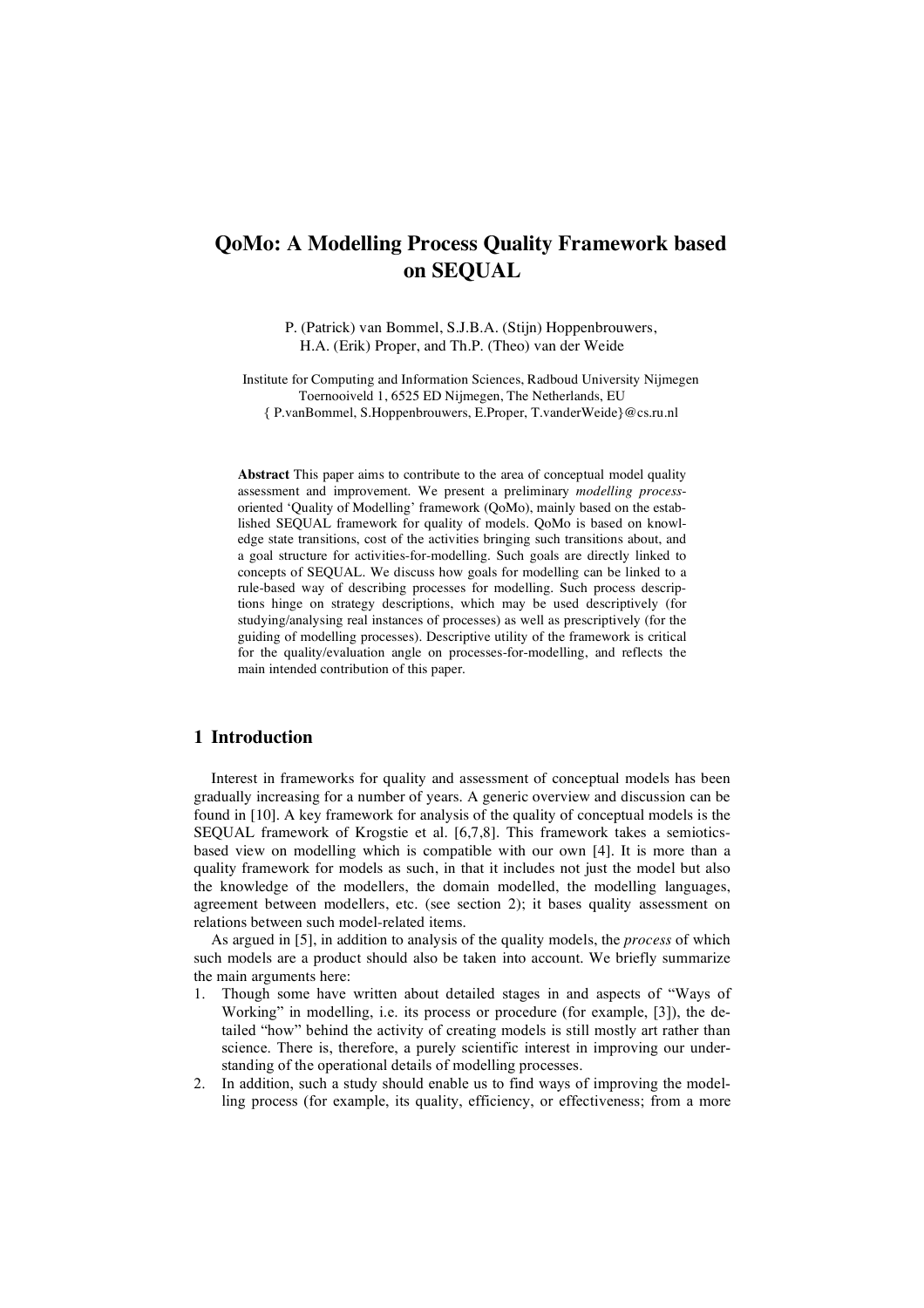# **QoMo: A Modelling Process Quality Framework based on SEQUAL**

P. (Patrick) van Bommel, S.J.B.A. (Stijn) Hoppenbrouwers, H.A. (Erik) Proper, and Th.P. (Theo) van der Weide

Institute for Computing and Information Sciences, Radboud University Nijmegen Toernooiveld 1, 6525 ED Nijmegen, The Netherlands, EU { P.vanBommel, S.Hoppenbrouwers, E.Proper, T.vanderWeide}@cs.ru.nl

**Abstract** This paper aims to contribute to the area of conceptual model quality assessment and improvement. We present a preliminary *modelling process*oriented 'Quality of Modelling' framework (QoMo), mainly based on the established SEQUAL framework for quality of models. QoMo is based on knowledge state transitions, cost of the activities bringing such transitions about, and a goal structure for activities-for-modelling. Such goals are directly linked to concepts of SEQUAL. We discuss how goals for modelling can be linked to a rule-based way of describing processes for modelling. Such process descriptions hinge on strategy descriptions, which may be used descriptively (for studying/analysing real instances of processes) as well as prescriptively (for the guiding of modelling processes). Descriptive utility of the framework is critical for the quality/evaluation angle on processes-for-modelling, and reflects the main intended contribution of this paper.

### **1 Introduction**

Interest in frameworks for quality and assessment of conceptual models has been gradually increasing for a number of years. A generic overview and discussion can be found in [10]. A key framework for analysis of the quality of conceptual models is the SEQUAL framework of Krogstie et al. [6,7,8]. This framework takes a semioticsbased view on modelling which is compatible with our own [4]. It is more than a quality framework for models as such, in that it includes not just the model but also the knowledge of the modellers, the domain modelled, the modelling languages, agreement between modellers, etc. (see section 2); it bases quality assessment on relations between such model-related items.

As argued in [5], in addition to analysis of the quality models, the *process* of which such models are a product should also be taken into account. We briefly summarize the main arguments here:

- 1. Though some have written about detailed stages in and aspects of "Ways of Working" in modelling, i.e. its process or procedure (for example, [3]), the detailed "how" behind the activity of creating models is still mostly art rather than science. There is, therefore, a purely scientific interest in improving our understanding of the operational details of modelling processes.
- 2. In addition, such a study should enable us to find ways of improving the modelling process (for example, its quality, efficiency, or effectiveness; from a more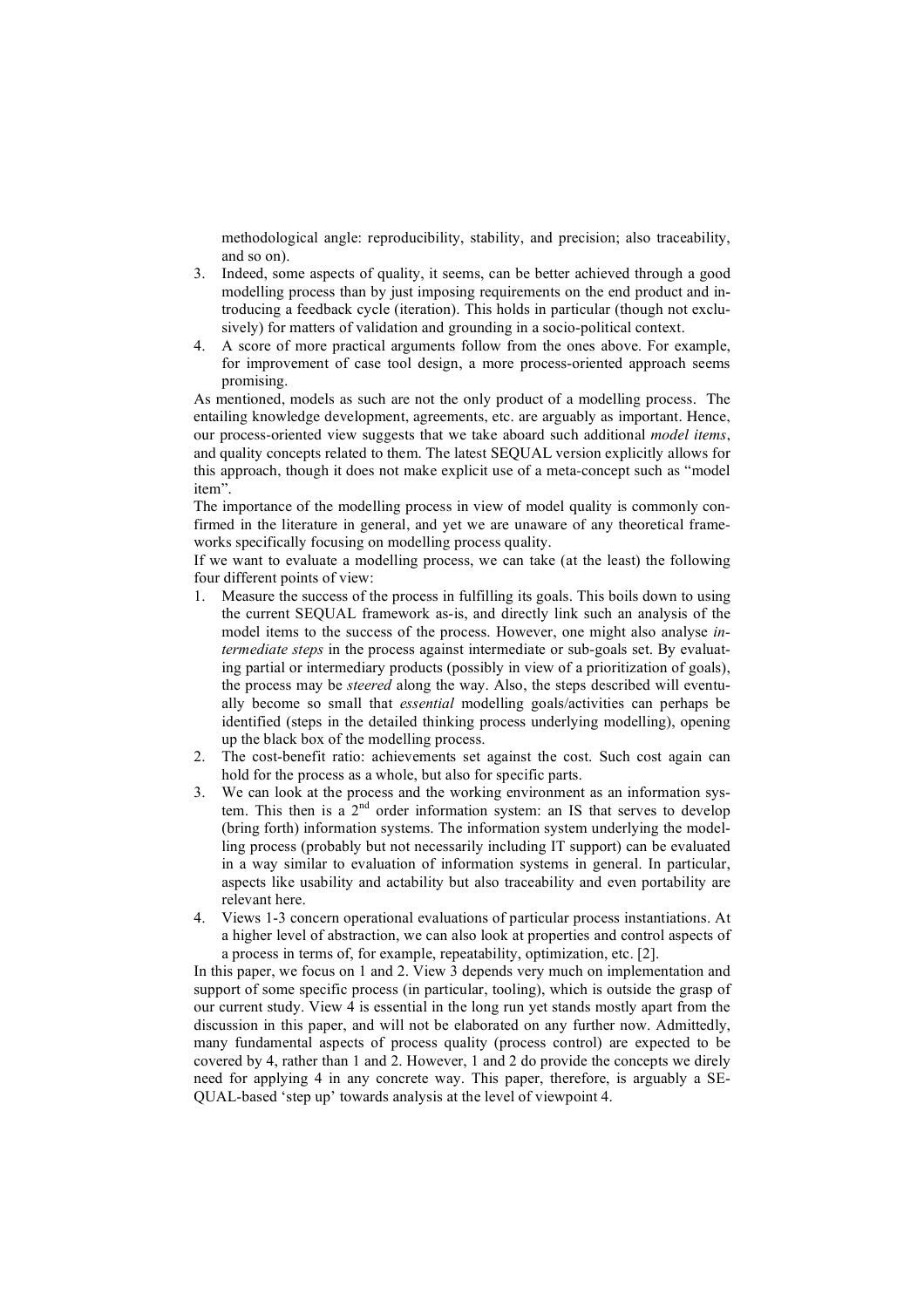methodological angle: reproducibility, stability, and precision; also traceability, and so on).

- 3. Indeed, some aspects of quality, it seems, can be better achieved through a good modelling process than by just imposing requirements on the end product and introducing a feedback cycle (iteration). This holds in particular (though not exclusively) for matters of validation and grounding in a socio-political context.
- 4. A score of more practical arguments follow from the ones above. For example, for improvement of case tool design, a more process-oriented approach seems promising.

As mentioned, models as such are not the only product of a modelling process. The entailing knowledge development, agreements, etc. are arguably as important. Hence, our process-oriented view suggests that we take aboard such additional *model items*, and quality concepts related to them. The latest SEQUAL version explicitly allows for this approach, though it does not make explicit use of a meta-concept such as "model item".

The importance of the modelling process in view of model quality is commonly confirmed in the literature in general, and yet we are unaware of any theoretical frameworks specifically focusing on modelling process quality.

If we want to evaluate a modelling process, we can take (at the least) the following four different points of view:

- 1. Measure the success of the process in fulfilling its goals. This boils down to using the current SEQUAL framework as-is, and directly link such an analysis of the model items to the success of the process. However, one might also analyse *intermediate steps* in the process against intermediate or sub-goals set. By evaluating partial or intermediary products (possibly in view of a prioritization of goals), the process may be *steered* along the way. Also, the steps described will eventually become so small that *essential* modelling goals/activities can perhaps be identified (steps in the detailed thinking process underlying modelling), opening up the black box of the modelling process.
- 2. The cost-benefit ratio: achievements set against the cost. Such cost again can hold for the process as a whole, but also for specific parts.
- 3. We can look at the process and the working environment as an information system. This then is  $a^22^{nd}$  order information system: an IS that serves to develop (bring forth) information systems. The information system underlying the modelling process (probably but not necessarily including IT support) can be evaluated in a way similar to evaluation of information systems in general. In particular, aspects like usability and actability but also traceability and even portability are relevant here.
- 4. Views 1-3 concern operational evaluations of particular process instantiations. At a higher level of abstraction, we can also look at properties and control aspects of a process in terms of, for example, repeatability, optimization, etc. [2].

In this paper, we focus on 1 and 2. View 3 depends very much on implementation and support of some specific process (in particular, tooling), which is outside the grasp of our current study. View 4 is essential in the long run yet stands mostly apart from the discussion in this paper, and will not be elaborated on any further now. Admittedly, many fundamental aspects of process quality (process control) are expected to be covered by 4, rather than 1 and 2. However, 1 and 2 do provide the concepts we direly need for applying 4 in any concrete way. This paper, therefore, is arguably a SE-QUAL-based 'step up' towards analysis at the level of viewpoint 4.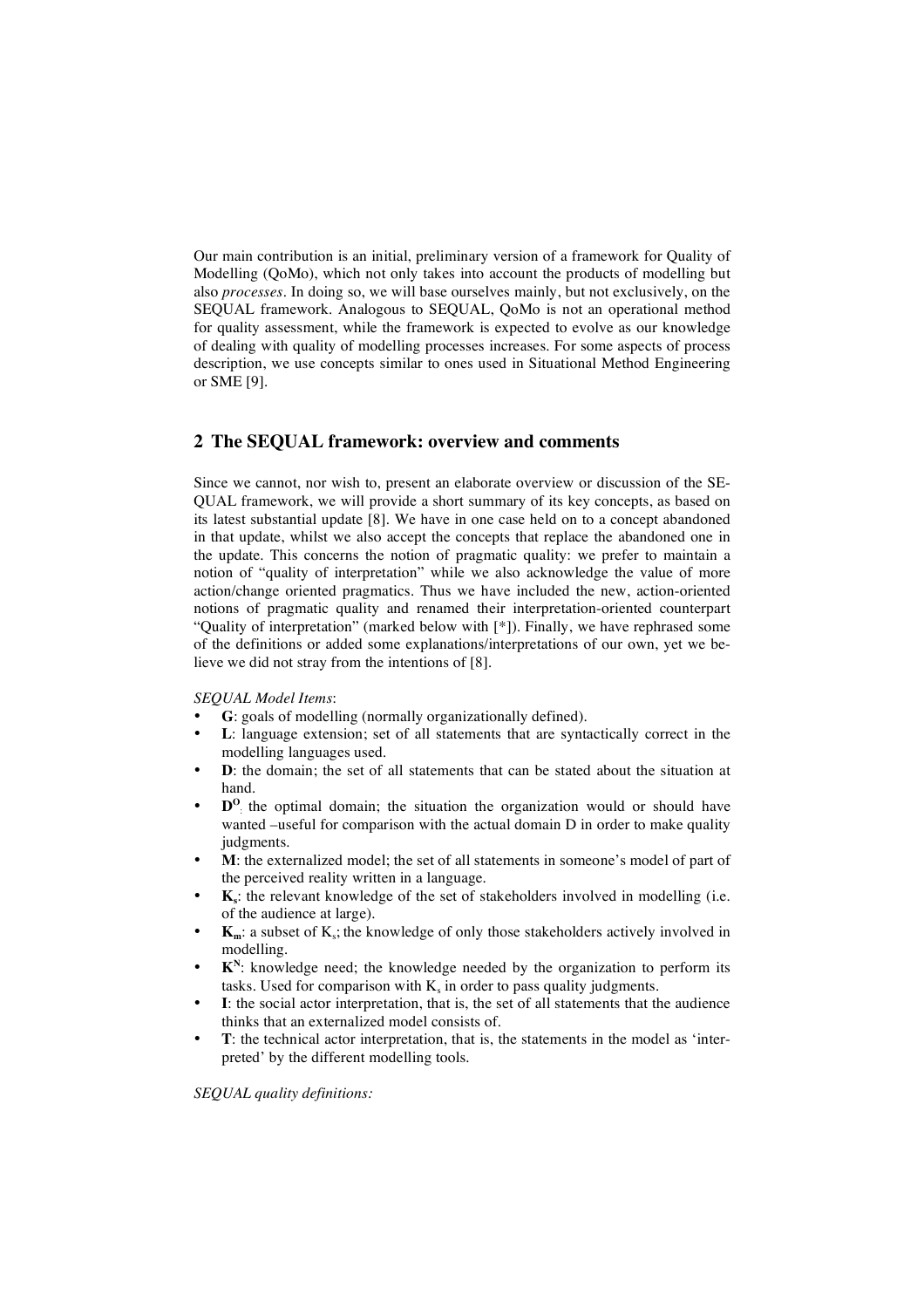Our main contribution is an initial, preliminary version of a framework for Quality of Modelling (QoMo), which not only takes into account the products of modelling but also *processes*. In doing so, we will base ourselves mainly, but not exclusively, on the SEQUAL framework. Analogous to SEQUAL, QoMo is not an operational method for quality assessment, while the framework is expected to evolve as our knowledge of dealing with quality of modelling processes increases. For some aspects of process description, we use concepts similar to ones used in Situational Method Engineering or SME [9].

# **2 The SEQUAL framework: overview and comments**

Since we cannot, nor wish to, present an elaborate overview or discussion of the SE-QUAL framework, we will provide a short summary of its key concepts, as based on its latest substantial update [8]. We have in one case held on to a concept abandoned in that update, whilst we also accept the concepts that replace the abandoned one in the update. This concerns the notion of pragmatic quality: we prefer to maintain a notion of "quality of interpretation" while we also acknowledge the value of more action/change oriented pragmatics. Thus we have included the new, action-oriented notions of pragmatic quality and renamed their interpretation-oriented counterpart "Quality of interpretation" (marked below with [\*]). Finally, we have rephrased some of the definitions or added some explanations/interpretations of our own, yet we believe we did not stray from the intentions of [8].

#### *SEQUAL Model Items*:

- **G**: goals of modelling (normally organizationally defined).
- L: language extension; set of all statements that are syntactically correct in the modelling languages used.
- **D**: the domain; the set of all statements that can be stated about the situation at hand.
- **D<sup>O</sup>** the optimal domain; the situation the organization would or should have wanted –useful for comparison with the actual domain D in order to make quality judgments.
- **M**: the externalized model; the set of all statements in someone's model of part of the perceived reality written in a language.
- **K**<sub>s</sub>: the relevant knowledge of the set of stakeholders involved in modelling (i.e. of the audience at large).
- $K_m$ : a subset of  $K_s$ ; the knowledge of only those stakeholders actively involved in modelling.
- $K<sup>N</sup>$ : knowledge need; the knowledge needed by the organization to perform its tasks. Used for comparison with  $K_s$  in order to pass quality judgments.
- **I**: the social actor interpretation, that is, the set of all statements that the audience thinks that an externalized model consists of.
- **T**: the technical actor interpretation, that is, the statements in the model as 'interpreted' by the different modelling tools.

#### *SEQUAL quality definitions:*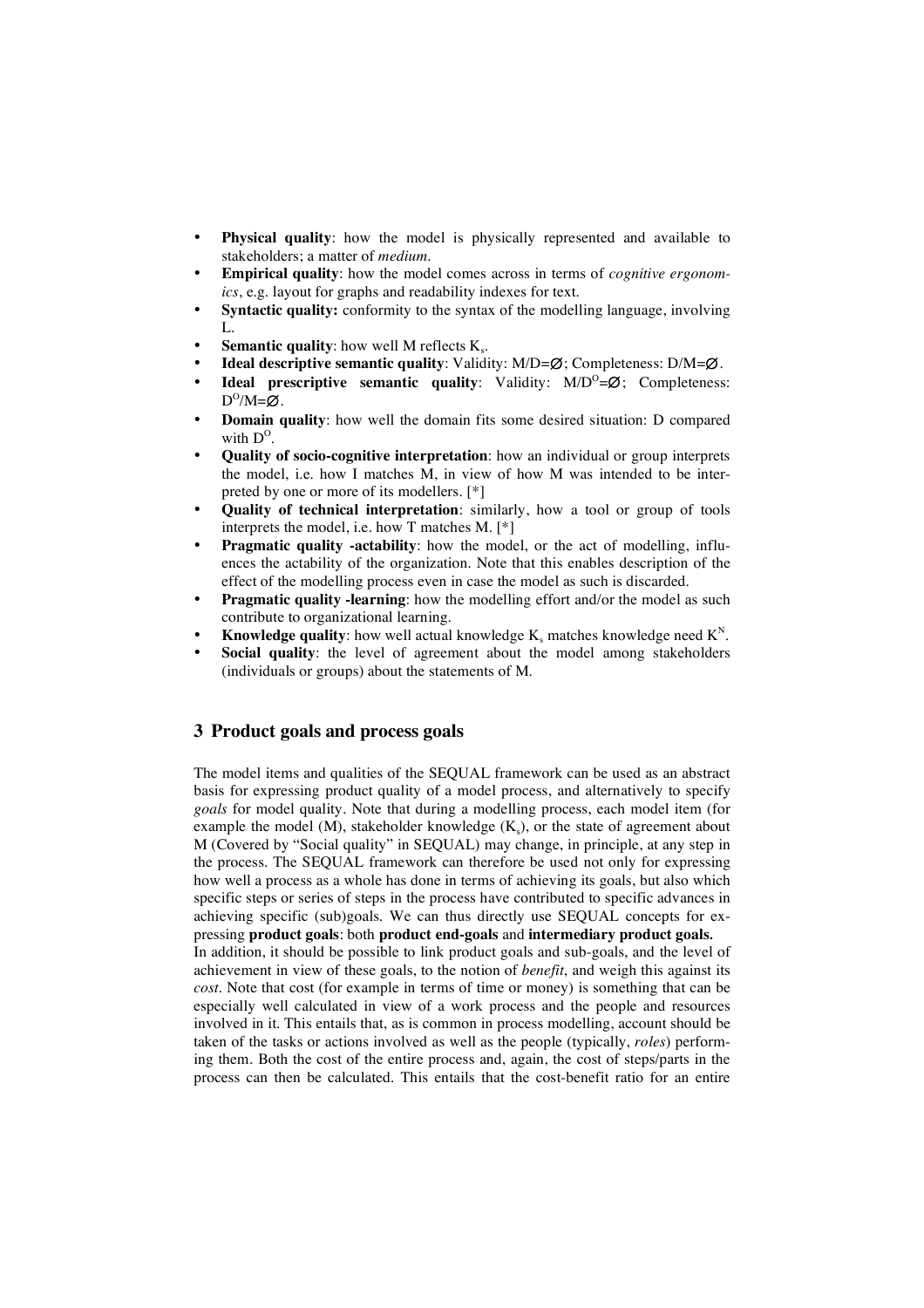- **Physical quality**: how the model is physically represented and available to stakeholders; a matter of *medium*.
- **Empirical quality**: how the model comes across in terms of *cognitive ergonomics*, e.g. layout for graphs and readability indexes for text.
- **Syntactic quality:** conformity to the syntax of the modelling language, involving  $L$ .
- **Semantic quality:** how well M reflects  $K_s$ .
- **Ideal descriptive semantic quality**: Validity: M/D=∅; Completeness: D/M=∅.
- **Ideal prescriptive semantic quality:** Validity: M/D<sup>O</sup>=∅; Completeness:  $D^{O}/M = \emptyset$ .
- **Domain quality**: how well the domain fits some desired situation: D compared with  $D^0$ .
- **Quality of socio-cognitive interpretation**: how an individual or group interprets the model, i.e. how I matches M, in view of how M was intended to be interpreted by one or more of its modellers. [\*]
- **Quality of technical interpretation**: similarly, how a tool or group of tools interprets the model, i.e. how T matches M. [\*]
- **Pragmatic quality -actability**: how the model, or the act of modelling, influences the actability of the organization. Note that this enables description of the effect of the modelling process even in case the model as such is discarded.
- **Pragmatic quality -learning**: how the modelling effort and/or the model as such contribute to organizational learning.
- **Knowledge quality**: how well actual knowledge  $K_s$  matches knowledge need  $K^N$ .
- Social quality: the level of agreement about the model among stakeholders (individuals or groups) about the statements of M.

## **3 Product goals and process goals**

The model items and qualities of the SEQUAL framework can be used as an abstract basis for expressing product quality of a model process, and alternatively to specify *goals* for model quality. Note that during a modelling process, each model item (for example the model (M), stakeholder knowledge  $(K_s)$ , or the state of agreement about M (Covered by "Social quality" in SEQUAL) may change, in principle, at any step in the process. The SEQUAL framework can therefore be used not only for expressing how well a process as a whole has done in terms of achieving its goals, but also which specific steps or series of steps in the process have contributed to specific advances in achieving specific (sub)goals. We can thus directly use SEQUAL concepts for expressing **product goals**: both **product end-goals** and **intermediary product goals***.*

In addition, it should be possible to link product goals and sub-goals, and the level of achievement in view of these goals, to the notion of *benefit*, and weigh this against its *cost*. Note that cost (for example in terms of time or money) is something that can be especially well calculated in view of a work process and the people and resources involved in it. This entails that, as is common in process modelling, account should be taken of the tasks or actions involved as well as the people (typically, *roles*) performing them. Both the cost of the entire process and, again, the cost of steps/parts in the process can then be calculated. This entails that the cost-benefit ratio for an entire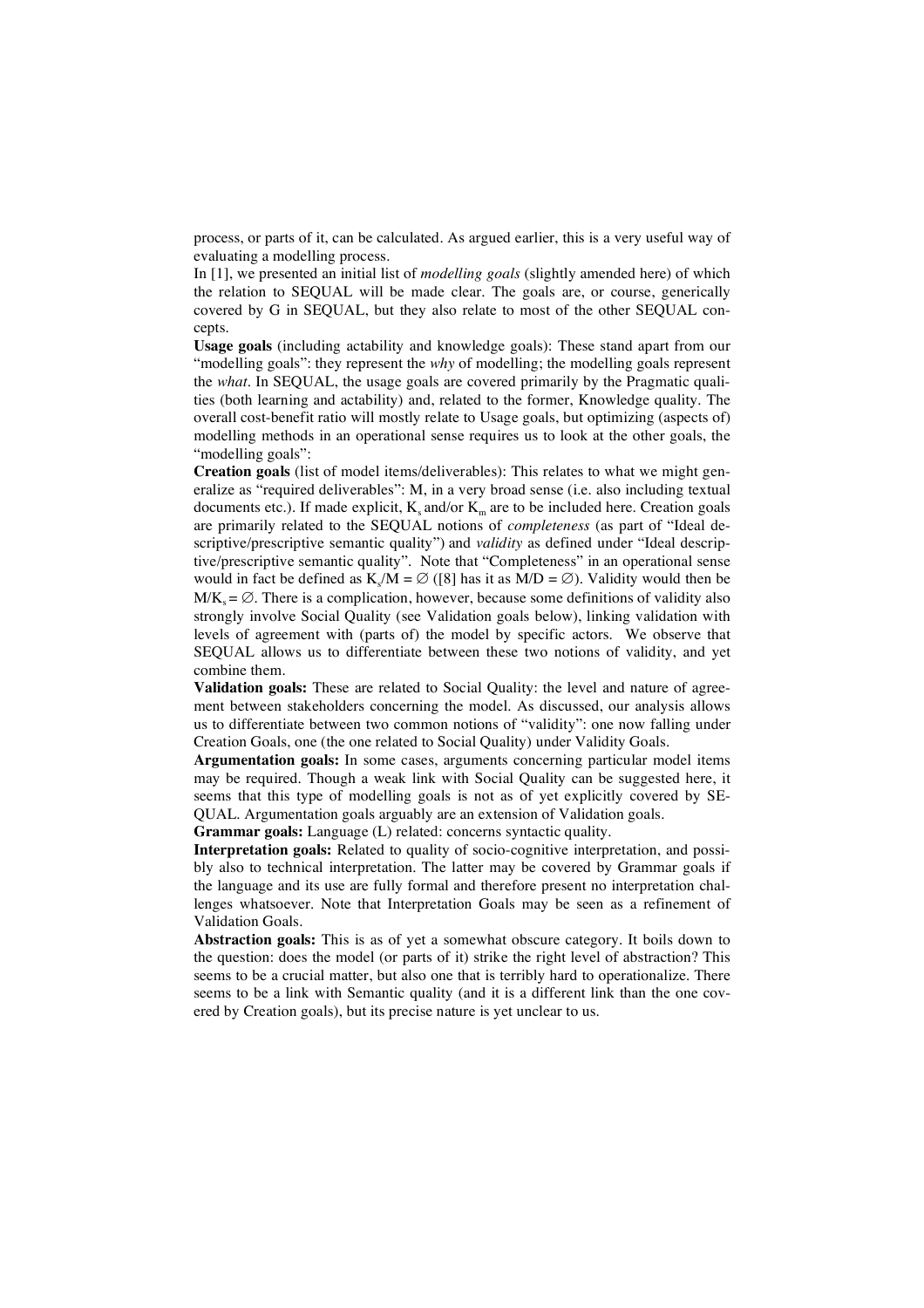process, or parts of it, can be calculated. As argued earlier, this is a very useful way of evaluating a modelling process.

In [1], we presented an initial list of *modelling goals* (slightly amended here) of which the relation to SEQUAL will be made clear. The goals are, or course, generically covered by G in SEQUAL, but they also relate to most of the other SEQUAL concepts.

**Usage goals** (including actability and knowledge goals): These stand apart from our "modelling goals": they represent the *why* of modelling; the modelling goals represent the *what*. In SEQUAL, the usage goals are covered primarily by the Pragmatic qualities (both learning and actability) and, related to the former, Knowledge quality. The overall cost-benefit ratio will mostly relate to Usage goals, but optimizing (aspects of) modelling methods in an operational sense requires us to look at the other goals, the "modelling goals":

**Creation goals** (list of model items/deliverables): This relates to what we might generalize as "required deliverables": M, in a very broad sense (i.e. also including textual documents etc.). If made explicit,  $K_s$  and/or  $K_m$  are to be included here. Creation goals are primarily related to the SEQUAL notions of *completeness* (as part of "Ideal descriptive/prescriptive semantic quality") and *validity* as defined under "Ideal descriptive/prescriptive semantic quality". Note that "Completeness" in an operational sense would in fact be defined as K<sub>s</sub>/M =  $\varnothing$  ([8] has it as M/D =  $\varnothing$ ). Validity would then be  $M/K_s = \emptyset$ . There is a complication, however, because some definitions of validity also strongly involve Social Quality (see Validation goals below), linking validation with levels of agreement with (parts of) the model by specific actors. We observe that SEQUAL allows us to differentiate between these two notions of validity, and yet combine them.

**Validation goals:** These are related to Social Quality: the level and nature of agreement between stakeholders concerning the model. As discussed, our analysis allows us to differentiate between two common notions of "validity": one now falling under Creation Goals, one (the one related to Social Quality) under Validity Goals.

**Argumentation goals:** In some cases, arguments concerning particular model items may be required. Though a weak link with Social Quality can be suggested here, it seems that this type of modelling goals is not as of yet explicitly covered by SE-QUAL. Argumentation goals arguably are an extension of Validation goals.

**Grammar goals:** Language (L) related: concerns syntactic quality.

**Interpretation goals:** Related to quality of socio-cognitive interpretation, and possibly also to technical interpretation. The latter may be covered by Grammar goals if the language and its use are fully formal and therefore present no interpretation challenges whatsoever. Note that Interpretation Goals may be seen as a refinement of Validation Goals.

**Abstraction goals:** This is as of yet a somewhat obscure category. It boils down to the question: does the model (or parts of it) strike the right level of abstraction? This seems to be a crucial matter, but also one that is terribly hard to operationalize. There seems to be a link with Semantic quality (and it is a different link than the one covered by Creation goals), but its precise nature is yet unclear to us.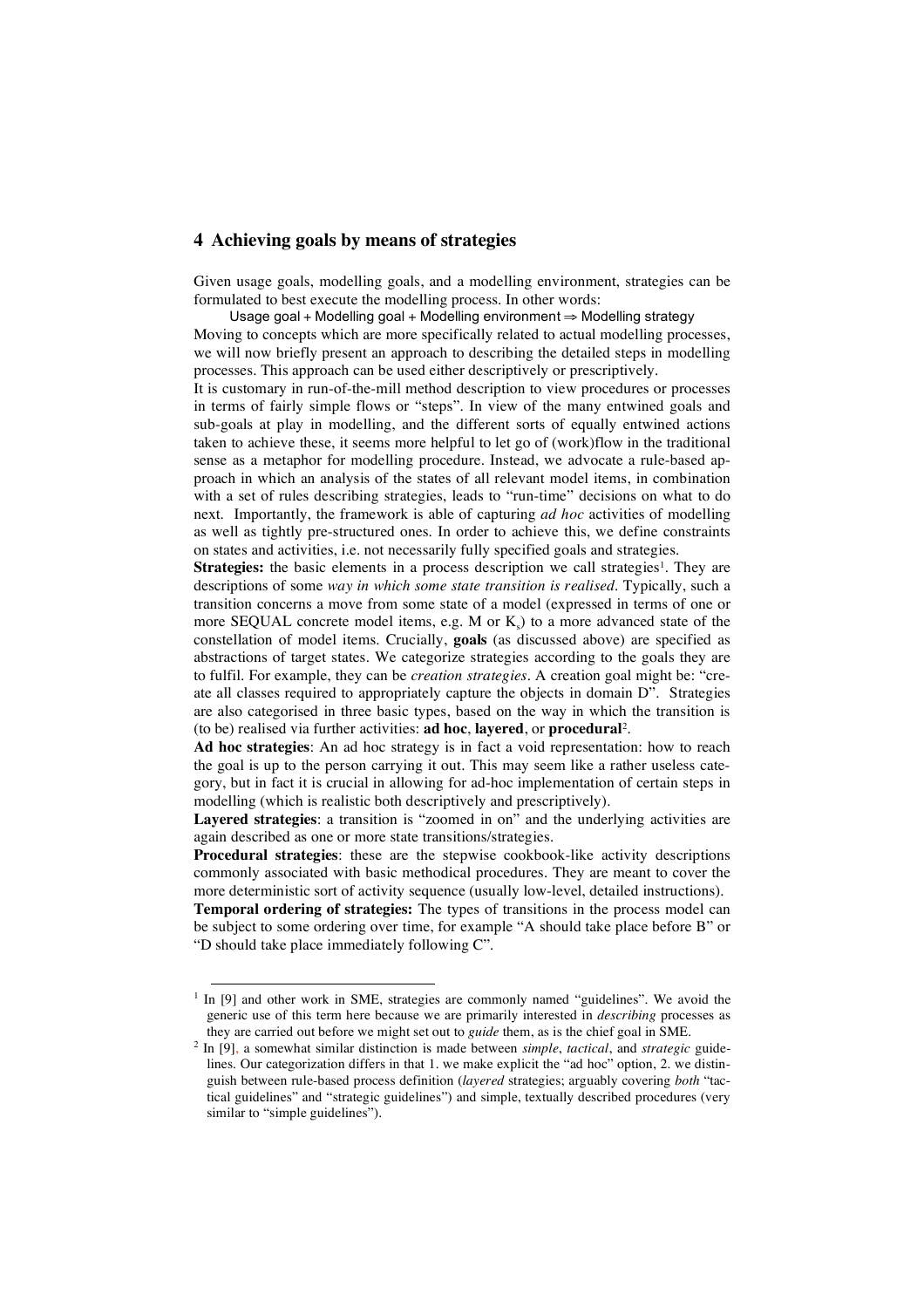### **4 Achieving goals by means of strategies**

Given usage goals, modelling goals, and a modelling environment, strategies can be formulated to best execute the modelling process. In other words:

Usage goal + Modelling goal + Modelling environment ⇒ Modelling strategy

Moving to concepts which are more specifically related to actual modelling processes, we will now briefly present an approach to describing the detailed steps in modelling processes. This approach can be used either descriptively or prescriptively.

It is customary in run-of-the-mill method description to view procedures or processes in terms of fairly simple flows or "steps". In view of the many entwined goals and sub-goals at play in modelling, and the different sorts of equally entwined actions taken to achieve these, it seems more helpful to let go of (work)flow in the traditional sense as a metaphor for modelling procedure. Instead, we advocate a rule-based approach in which an analysis of the states of all relevant model items, in combination with a set of rules describing strategies, leads to "run-time" decisions on what to do next. Importantly, the framework is able of capturing *ad hoc* activities of modelling as well as tightly pre-structured ones. In order to achieve this, we define constraints on states and activities, i.e. not necessarily fully specified goals and strategies.

**Strategies:** the basic elements in a process description we call strategies<sup>1</sup>. They are descriptions of some *way in which some state transition is realised*. Typically, such a transition concerns a move from some state of a model (expressed in terms of one or more SEQUAL concrete model items, e.g. M or  $K<sub>s</sub>$ ) to a more advanced state of the constellation of model items. Crucially, **goals** (as discussed above) are specified as abstractions of target states. We categorize strategies according to the goals they are to fulfil. For example, they can be *creation strategies*. A creation goal might be: "create all classes required to appropriately capture the objects in domain D". Strategies are also categorised in three basic types, based on the way in which the transition is (to be) realised via further activities: **ad hoc**, **layered**, or **procedural** 2.

**Ad hoc strategies**: An ad hoc strategy is in fact a void representation: how to reach the goal is up to the person carrying it out. This may seem like a rather useless category, but in fact it is crucial in allowing for ad-hoc implementation of certain steps in modelling (which is realistic both descriptively and prescriptively).

**Layered strategies**: a transition is "zoomed in on" and the underlying activities are again described as one or more state transitions/strategies.

**Procedural strategies**: these are the stepwise cookbook-like activity descriptions commonly associated with basic methodical procedures. They are meant to cover the more deterministic sort of activity sequence (usually low-level, detailed instructions).

**Temporal ordering of strategies:** The types of transitions in the process model can be subject to some ordering over time, for example "A should take place before B" or "D should take place immediately following C".

 $1$  In [9] and other work in SME, strategies are commonly named "guidelines". We avoid the generic use of this term here because we are primarily interested in *describing* processes as they are carried out before we might set out to *guide* them, as is the chief goal in SME.

<sup>2</sup> In [9], a somewhat similar distinction is made between *simple*, *tactical*, and *strategic* guidelines. Our categorization differs in that 1. we make explicit the "ad hoc" option, 2. we distinguish between rule-based process definition (*layered* strategies; arguably covering *both* "tactical guidelines" and "strategic guidelines") and simple, textually described procedures (very similar to "simple guidelines").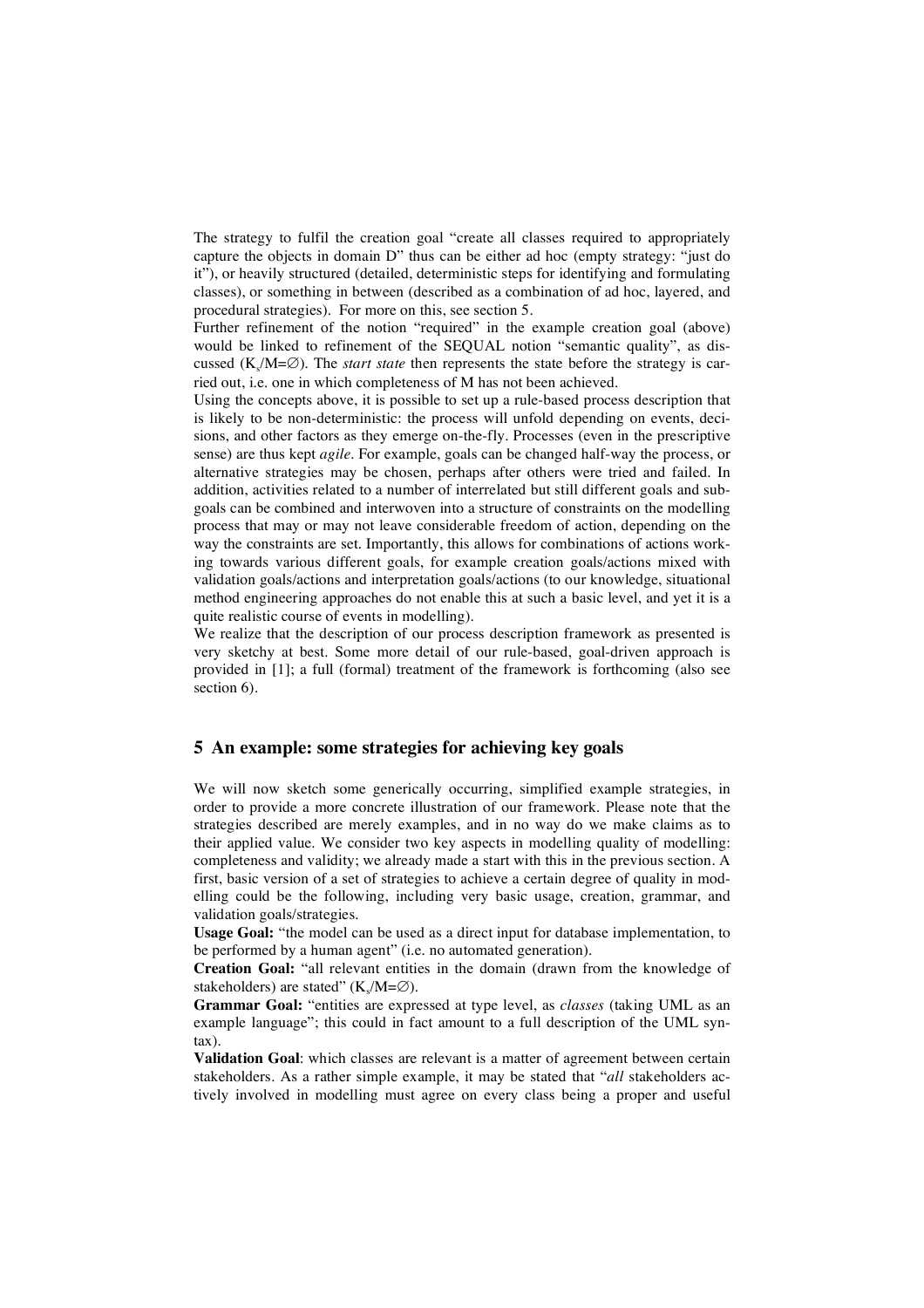The strategy to fulfil the creation goal "create all classes required to appropriately capture the objects in domain D" thus can be either ad hoc (empty strategy: "just do it"), or heavily structured (detailed, deterministic steps for identifying and formulating classes), or something in between (described as a combination of ad hoc, layered, and procedural strategies). For more on this, see section 5.

Further refinement of the notion "required" in the example creation goal (above) would be linked to refinement of the SEQUAL notion "semantic quality", as discussed ( $K_s/M = \emptyset$ ). The *start state* then represents the state before the strategy is carried out, i.e. one in which completeness of M has not been achieved.

Using the concepts above, it is possible to set up a rule-based process description that is likely to be non-deterministic: the process will unfold depending on events, decisions, and other factors as they emerge on-the-fly. Processes (even in the prescriptive sense) are thus kept *agile*. For example, goals can be changed half-way the process, or alternative strategies may be chosen, perhaps after others were tried and failed. In addition, activities related to a number of interrelated but still different goals and subgoals can be combined and interwoven into a structure of constraints on the modelling process that may or may not leave considerable freedom of action, depending on the way the constraints are set. Importantly, this allows for combinations of actions working towards various different goals, for example creation goals/actions mixed with validation goals/actions and interpretation goals/actions (to our knowledge, situational method engineering approaches do not enable this at such a basic level, and yet it is a quite realistic course of events in modelling).

We realize that the description of our process description framework as presented is very sketchy at best. Some more detail of our rule-based, goal-driven approach is provided in [1]; a full (formal) treatment of the framework is forthcoming (also see section 6).

# **5 An example: some strategies for achieving key goals**

We will now sketch some generically occurring, simplified example strategies, in order to provide a more concrete illustration of our framework. Please note that the strategies described are merely examples, and in no way do we make claims as to their applied value. We consider two key aspects in modelling quality of modelling: completeness and validity; we already made a start with this in the previous section. A first, basic version of a set of strategies to achieve a certain degree of quality in modelling could be the following, including very basic usage, creation, grammar, and validation goals/strategies.

**Usage Goal:** "the model can be used as a direct input for database implementation, to be performed by a human agent" (i.e. no automated generation).

**Creation Goal:** "all relevant entities in the domain (drawn from the knowledge of stakeholders) are stated" ( $K_s/M=\varnothing$ ).

**Grammar Goal:** "entities are expressed at type level, as *classes* (taking UML as an example language"; this could in fact amount to a full description of the UML syntax).

**Validation Goal**: which classes are relevant is a matter of agreement between certain stakeholders. As a rather simple example, it may be stated that "*all* stakeholders actively involved in modelling must agree on every class being a proper and useful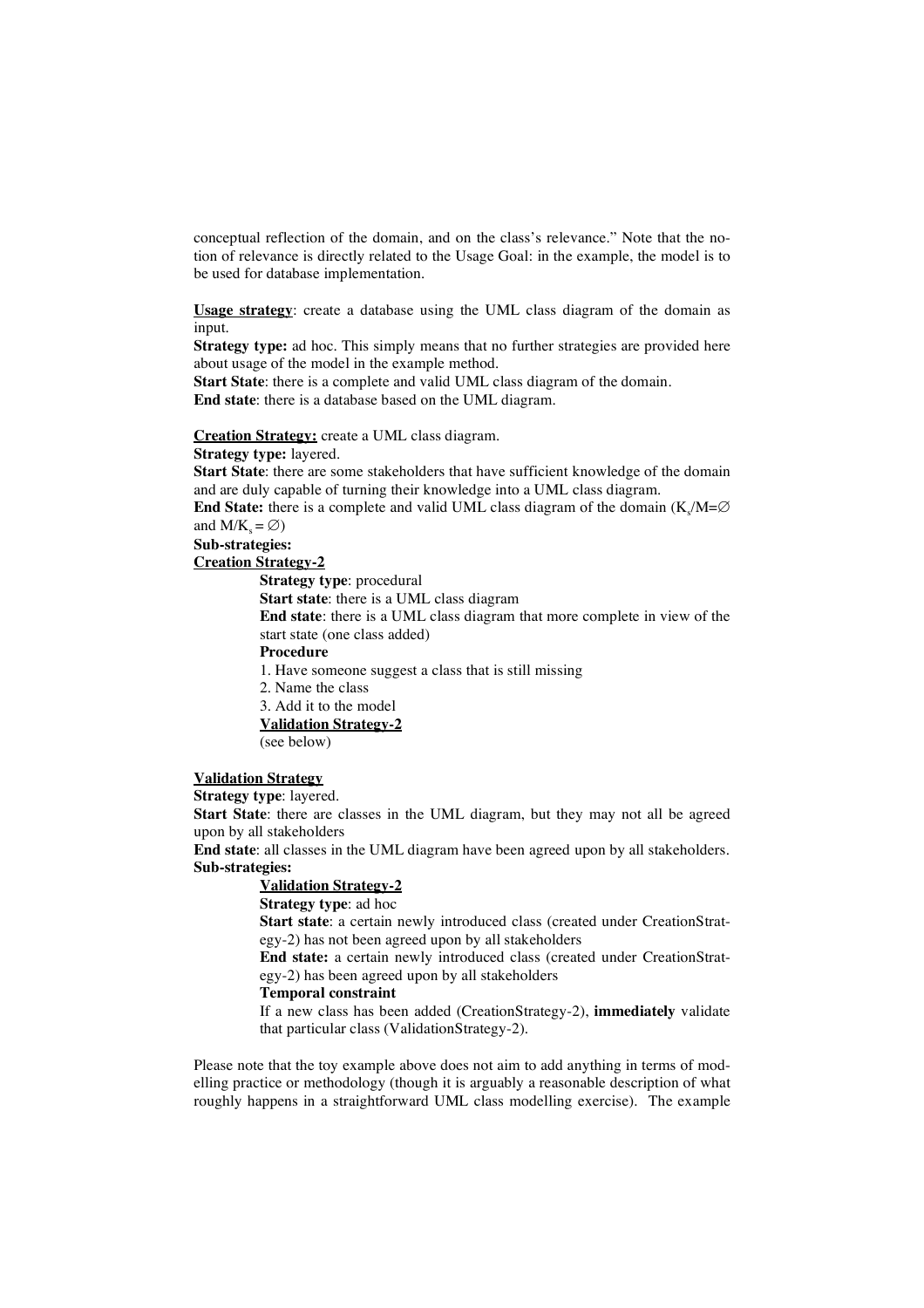conceptual reflection of the domain, and on the class's relevance." Note that the notion of relevance is directly related to the Usage Goal: in the example, the model is to be used for database implementation.

**Usage strategy**: create a database using the UML class diagram of the domain as input.

**Strategy type:** ad hoc. This simply means that no further strategies are provided here about usage of the model in the example method.

**Start State**: there is a complete and valid UML class diagram of the domain. **End state**: there is a database based on the UML diagram.

#### **Creation Strategy:** create a UML class diagram.

**Strategy type:** layered.

**Start State**: there are some stakeholders that have sufficient knowledge of the domain and are duly capable of turning their knowledge into a UML class diagram.

**End State:** there is a complete and valid UML class diagram of the domain ( $K_s/M=\varnothing$ and  $M/K_s = \emptyset$ )

**Sub-strategies:**

**Creation Strategy-2**

**Strategy type**: procedural **Start state**: there is a UML class diagram **End state**: there is a UML class diagram that more complete in view of the start state (one class added) **Procedure** 1. Have someone suggest a class that is still missing 2. Name the class 3. Add it to the model

# **Validation Strategy-2**

(see below)

#### **Validation Strategy**

**Strategy type**: layered.

**Start State**: there are classes in the UML diagram, but they may not all be agreed upon by all stakeholders

**End state**: all classes in the UML diagram have been agreed upon by all stakeholders. **Sub-strategies:**

# **Validation Strategy-2**

**Strategy type**: ad hoc

**Start state**: a certain newly introduced class (created under CreationStrategy-2) has not been agreed upon by all stakeholders

**End state:** a certain newly introduced class (created under CreationStrategy-2) has been agreed upon by all stakeholders

#### **Temporal constraint**

If a new class has been added (CreationStrategy-2), **immediately** validate that particular class (ValidationStrategy-2).

Please note that the toy example above does not aim to add anything in terms of modelling practice or methodology (though it is arguably a reasonable description of what roughly happens in a straightforward UML class modelling exercise). The example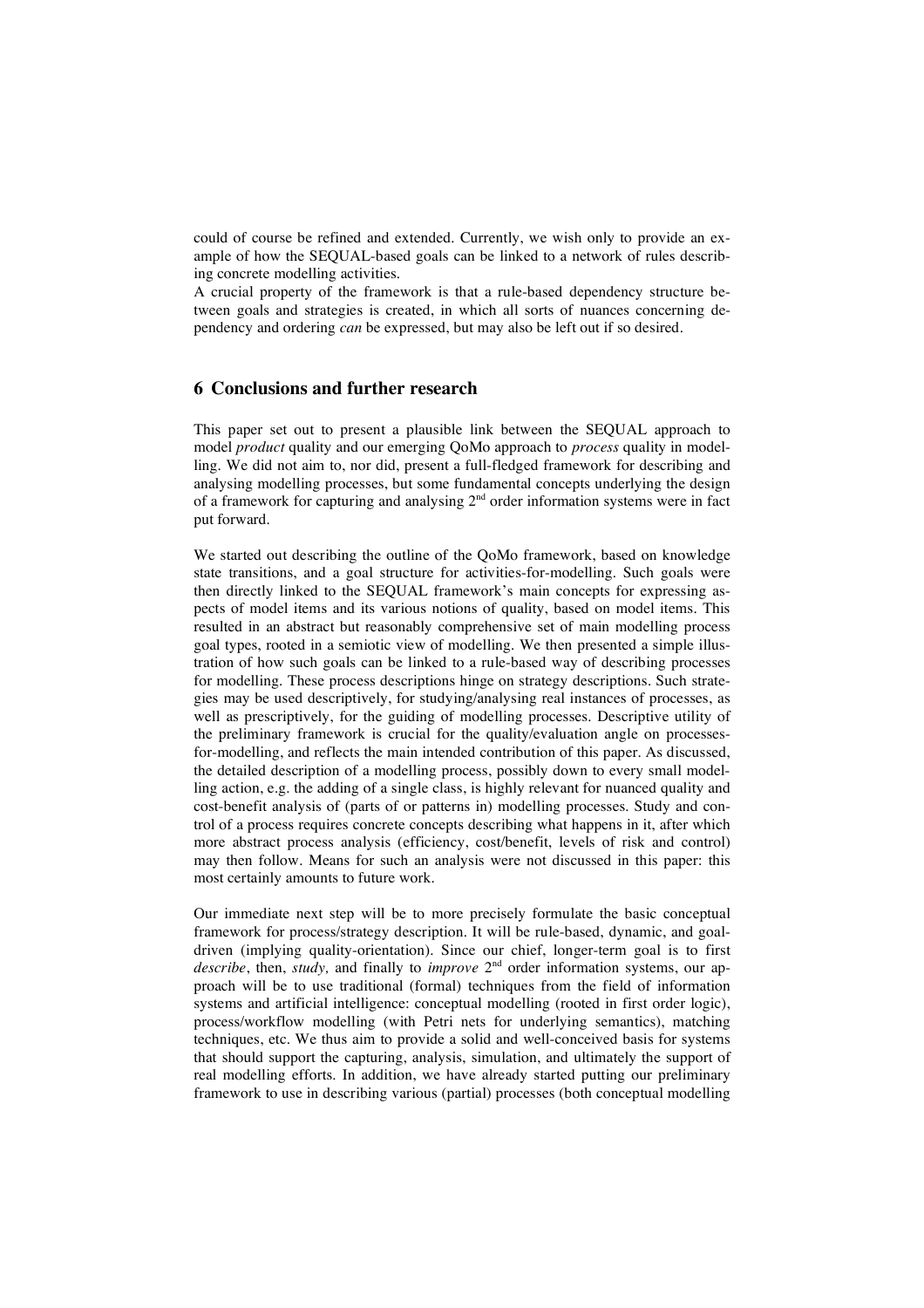could of course be refined and extended. Currently, we wish only to provide an example of how the SEQUAL-based goals can be linked to a network of rules describing concrete modelling activities.

A crucial property of the framework is that a rule-based dependency structure between goals and strategies is created, in which all sorts of nuances concerning dependency and ordering *can* be expressed, but may also be left out if so desired.

# **6 Conclusions and further research**

This paper set out to present a plausible link between the SEQUAL approach to model *product* quality and our emerging QoMo approach to *process* quality in modelling. We did not aim to, nor did, present a full-fledged framework for describing and analysing modelling processes, but some fundamental concepts underlying the design of a framework for capturing and analysing  $2<sup>nd</sup>$  order information systems were in fact put forward.

We started out describing the outline of the QoMo framework, based on knowledge state transitions, and a goal structure for activities-for-modelling. Such goals were then directly linked to the SEQUAL framework's main concepts for expressing aspects of model items and its various notions of quality, based on model items. This resulted in an abstract but reasonably comprehensive set of main modelling process goal types, rooted in a semiotic view of modelling. We then presented a simple illustration of how such goals can be linked to a rule-based way of describing processes for modelling. These process descriptions hinge on strategy descriptions. Such strategies may be used descriptively, for studying/analysing real instances of processes, as well as prescriptively, for the guiding of modelling processes. Descriptive utility of the preliminary framework is crucial for the quality/evaluation angle on processesfor-modelling, and reflects the main intended contribution of this paper. As discussed, the detailed description of a modelling process, possibly down to every small modelling action, e.g. the adding of a single class, is highly relevant for nuanced quality and cost-benefit analysis of (parts of or patterns in) modelling processes. Study and control of a process requires concrete concepts describing what happens in it, after which more abstract process analysis (efficiency, cost/benefit, levels of risk and control) may then follow. Means for such an analysis were not discussed in this paper: this most certainly amounts to future work.

Our immediate next step will be to more precisely formulate the basic conceptual framework for process/strategy description. It will be rule-based, dynamic, and goaldriven (implying quality-orientation). Since our chief, longer-term goal is to first describe, then, *study*, and finally to *improve* 2<sup>nd</sup> order information systems, our approach will be to use traditional (formal) techniques from the field of information systems and artificial intelligence: conceptual modelling (rooted in first order logic), process/workflow modelling (with Petri nets for underlying semantics), matching techniques, etc. We thus aim to provide a solid and well-conceived basis for systems that should support the capturing, analysis, simulation, and ultimately the support of real modelling efforts. In addition, we have already started putting our preliminary framework to use in describing various (partial) processes (both conceptual modelling